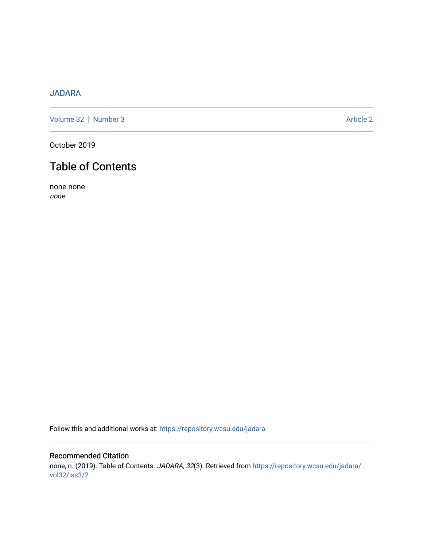## [JADARA](https://repository.wcsu.edu/jadara)

[Volume 32](https://repository.wcsu.edu/jadara/vol32) | [Number 3](https://repository.wcsu.edu/jadara/vol32/iss3) Article 2

October 2019

# Table of Contents

none none none

Follow this and additional works at: [https://repository.wcsu.edu/jadara](https://repository.wcsu.edu/jadara?utm_source=repository.wcsu.edu%2Fjadara%2Fvol32%2Fiss3%2F2&utm_medium=PDF&utm_campaign=PDFCoverPages)

## Recommended Citation none, n. (2019). Table of Contents. JADARA, 32(3). Retrieved from [https://repository.wcsu.edu/jadara/](https://repository.wcsu.edu/jadara/vol32/iss3/2?utm_source=repository.wcsu.edu%2Fjadara%2Fvol32%2Fiss3%2F2&utm_medium=PDF&utm_campaign=PDFCoverPages) [vol32/iss3/2](https://repository.wcsu.edu/jadara/vol32/iss3/2?utm_source=repository.wcsu.edu%2Fjadara%2Fvol32%2Fiss3%2F2&utm_medium=PDF&utm_campaign=PDFCoverPages)